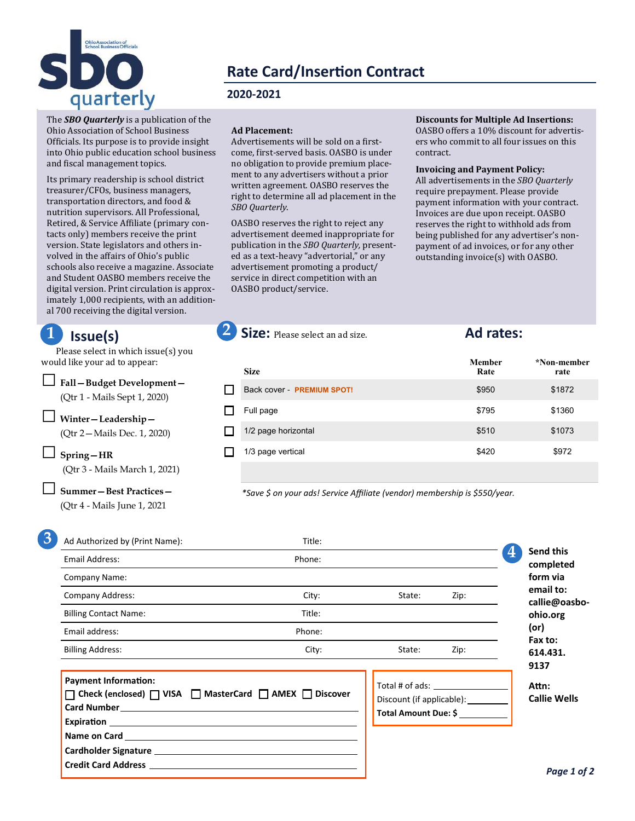

# **Rate Card/Insertion Contract**

### **2020-2021**

The *SBO Quarterly* is a publication of the Ohio Association of School Business Officials. Its purpose is to provide insight into Ohio public education school business and fiscal management topics.

Its primary readership is school district treasurer/CFOs, business managers, transportation directors, and food & nutrition supervisors. All Professional, Retired, & Service Affiliate (primary contacts only) members receive the print version. State legislators and others involved in the affairs of Ohio's public schools also receive a magazine. Associate and Student OASBO members receive the digital version. Print circulation is approximately 1,000 recipients, with an additional 700 receiving the digital version.

# **Issue(s)**

Please select in which issue(s) you would like your ad to appear:

□**Fall—Budget Development—**  (Qtr 1 - Mails Sept 1, 2020)

□ **Winter—Leadership—** 

(Qtr 2—Mails Dec. 1, 2020)

□ **Spring—HR** (Qtr 3 - Mails March 1, 2021)

□ **Summer—Best Practices—** 

(Qtr 4 - Mails June 1, 2021

### **Ad Placement:**

Advertisements will be sold on a firstcome, first-served basis. OASBO is under no obligation to provide premium placement to any advertisers without a prior written agreement. OASBO reserves the right to determine all ad placement in the *SBO Quarterly*.

OASBO reserves the right to reject any advertisement deemed inappropriate for publication in the *SBO Quarterly,* presented as a text-heavy "advertorial," or any advertisement promoting a product/ service in direct competition with an OASBO product/service.

**Discounts for Multiple Ad Insertions:**  OASBO offers a 10% discount for advertisers who commit to all four issues on this contract.

#### **Invoicing and Payment Policy:**  All advertisements in the *SBO Quarterly*  require prepayment. Please provide payment information with your contract. Invoices are due upon receipt. OASBO reserves the right to withhold ads from being published for any advertiser's nonpayment of ad invoices, or for any other

outstanding invoice(s) with OASBO.

| <b>Size</b>                       | <b>Member</b><br>Rate | *Non-member<br>rate |
|-----------------------------------|-----------------------|---------------------|
| Back cover - <b>PREMIUM SPOT!</b> | \$950                 | \$1872              |
| Full page                         | \$795                 | \$1360              |
| 1/2 page horizontal               | \$510                 | \$1073              |
| 1/3 page vertical                 | \$420                 | \$972               |
|                                   |                       |                     |

*\*Save \$ on your ads! Service Affiliate (vendor) membership is \$550/year.*

**1 2 Size:** Please select an ad size. **Ad rates:** 

| Ad Authorized by (Print Name): | Title: |        |      |                         |
|--------------------------------|--------|--------|------|-------------------------|
| Email Address:                 | Phone: |        |      | $\overline{\mathbf{4}}$ |
| Company Name:                  |        |        |      |                         |
| Company Address:               | City:  | State: | Zip: |                         |
| <b>Billing Contact Name:</b>   | Title: |        |      |                         |
| Email address:                 | Phone: |        |      |                         |
| <b>Billing Address:</b>        | City:  | State: | Zip: |                         |

| <b>Payment Information:</b>                                                                                                                                                                                                    |  |
|--------------------------------------------------------------------------------------------------------------------------------------------------------------------------------------------------------------------------------|--|
| □ Check (enclosed) □ VISA □ MasterCard □ AMEX □ Discover                                                                                                                                                                       |  |
|                                                                                                                                                                                                                                |  |
|                                                                                                                                                                                                                                |  |
|                                                                                                                                                                                                                                |  |
|                                                                                                                                                                                                                                |  |
| Credit Card Address entertainment and the contract of the contract of the contract of the contract of the contract of the contract of the contract of the contract of the contract of the contract of the contract of the cont |  |
|                                                                                                                                                                                                                                |  |

Total # of ads: Discount (if applicable): \_\_\_\_\_\_ **Total Amount Due: \$**

**Attn: Callie Wells**